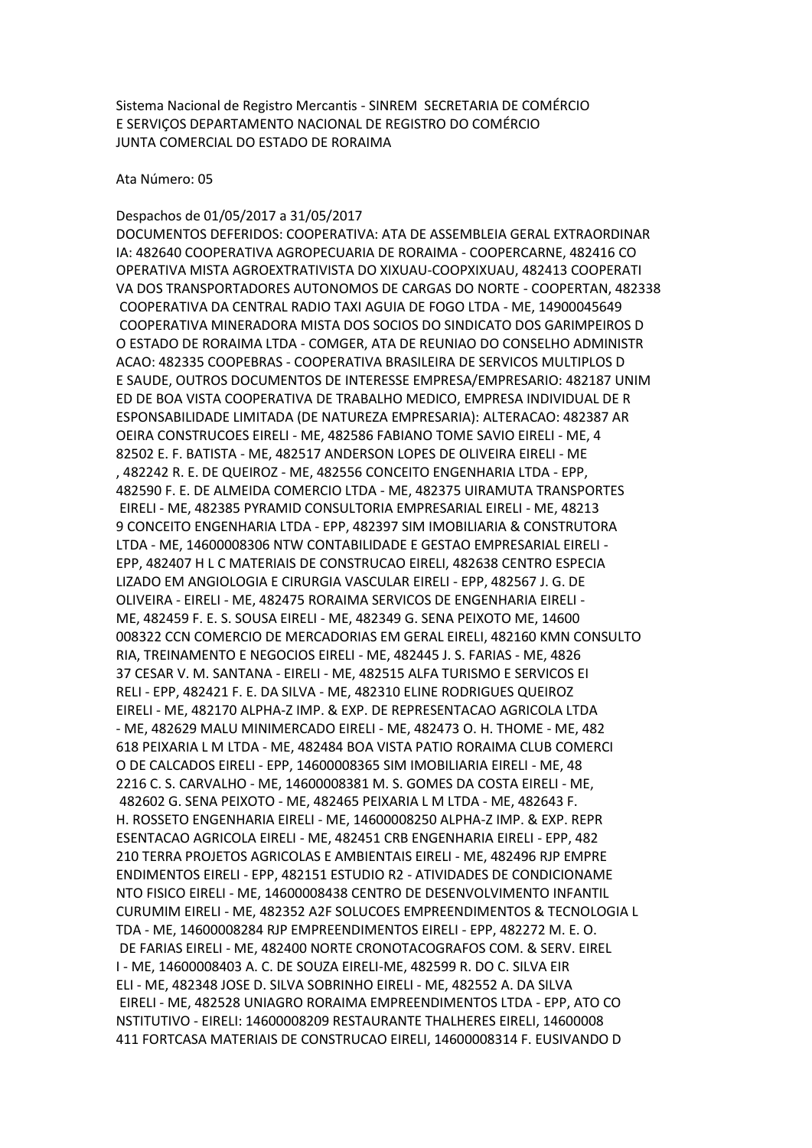Sistema Nacional de Registro Mercantis - SINREM SECRETARIA DE COMÉRCIO E SERVIÇOS DEPARTAMENTO NACIONAL DE REGISTRO DO COMÉRCIO JUNTA COMERCIAL DO ESTADO DE RORAIMA

Ata Número: 05

Despachos de 01/05/2017 a 31/05/2017

DOCUMENTOS DEFERIDOS: COOPERATIVA: ATA DE ASSEMBLEIA GERAL EXTRAORDINAR IA: 482640 COOPERATIVA AGROPECUARIA DE RORAIMA - COOPERCARNE, 482416 CO OPERATIVA MISTA AGROEXTRATIVISTA DO XIXUAU-COOPXIXUAU, 482413 COOPERATI VA DOS TRANSPORTADORES AUTONOMOS DE CARGAS DO NORTE - COOPERTAN, 482338 COOPERATIVA DA CENTRAL RADIO TAXI AGUIA DE FOGO LTDA - ME, 14900045649 COOPERATIVA MINERADORA MISTA DOS SOCIOS DO SINDICATO DOS GARIMPEIROS D O ESTADO DE RORAIMA LTDA - COMGER, ATA DE REUNIAO DO CONSELHO ADMINISTR ACAO: 482335 COOPEBRAS - COOPERATIVA BRASILEIRA DE SERVICOS MULTIPLOS D E SAUDE, OUTROS DOCUMENTOS DE INTERESSE EMPRESA/EMPRESARIO: 482187 UNIM ED DE BOA VISTA COOPERATIVA DE TRABALHO MEDICO, EMPRESA INDIVIDUAL DE R ESPONSABILIDADE LIMITADA (DE NATUREZA EMPRESARIA): ALTERACAO: 482387 AR OEIRA CONSTRUCOES EIRELI - ME, 482586 FABIANO TOME SAVIO EIRELI - ME, 4 82502 E. F. BATISTA - ME, 482517 ANDERSON LOPES DE OLIVEIRA EIRELI - ME , 482242 R. E. DE QUEIROZ - ME, 482556 CONCEITO ENGENHARIA LTDA - EPP, 482590 F. E. DE ALMEIDA COMERCIO LTDA - ME, 482375 UIRAMUTA TRANSPORTES EIRELI - ME, 482385 PYRAMID CONSULTORIA EMPRESARIAL EIRELI - ME, 48213 9 CONCEITO ENGENHARIA LTDA - EPP, 482397 SIM IMOBILIARIA & CONSTRUTORA LTDA - ME, 14600008306 NTW CONTABILIDADE E GESTAO EMPRESARIAL EIRELI - EPP, 482407 H L C MATERIAIS DE CONSTRUCAO EIRELI, 482638 CENTRO ESPECIA LIZADO EM ANGIOLOGIA E CIRURGIA VASCULAR EIRELI - EPP, 482567 J. G. DE OLIVEIRA - EIRELI - ME, 482475 RORAIMA SERVICOS DE ENGENHARIA EIRELI - ME, 482459 F. E. S. SOUSA EIRELI - ME, 482349 G. SENA PEIXOTO ME, 14600 008322 CCN COMERCIO DE MERCADORIAS EM GERAL EIRELI, 482160 KMN CONSULTO RIA, TREINAMENTO E NEGOCIOS EIRELI - ME, 482445 J. S. FARIAS - ME, 4826 37 CESAR V. M. SANTANA - EIRELI - ME, 482515 ALFA TURISMO E SERVICOS EI RELI - EPP, 482421 F. E. DA SILVA - ME, 482310 ELINE RODRIGUES QUEIROZ EIRELI - ME, 482170 ALPHA-Z IMP. & EXP. DE REPRESENTACAO AGRICOLA LTDA - ME, 482629 MALU MINIMERCADO EIRELI - ME, 482473 O. H. THOME - ME, 482 618 PEIXARIA L M LTDA - ME, 482484 BOA VISTA PATIO RORAIMA CLUB COMERCI O DE CALCADOS EIRELI - EPP, 14600008365 SIM IMOBILIARIA EIRELI - ME, 48 2216 C. S. CARVALHO - ME, 14600008381 M. S. GOMES DA COSTA EIRELI - ME, 482602 G. SENA PEIXOTO - ME, 482465 PEIXARIA L M LTDA - ME, 482643 F. H. ROSSETO ENGENHARIA EIRELI - ME, 14600008250 ALPHA-Z IMP. & EXP. REPR ESENTACAO AGRICOLA EIRELI - ME, 482451 CRB ENGENHARIA EIRELI - EPP, 482 210 TERRA PROJETOS AGRICOLAS E AMBIENTAIS EIRELI - ME, 482496 RJP EMPRE ENDIMENTOS EIRELI - EPP, 482151 ESTUDIO R2 - ATIVIDADES DE CONDICIONAME NTO FISICO EIRELI - ME, 14600008438 CENTRO DE DESENVOLVIMENTO INFANTIL CURUMIM EIRELI - ME, 482352 A2F SOLUCOES EMPREENDIMENTOS & TECNOLOGIA L TDA - ME, 14600008284 RJP EMPREENDIMENTOS EIRELI - EPP, 482272 M. E. O. DE FARIAS EIRELI - ME, 482400 NORTE CRONOTACOGRAFOS COM. & SERV. EIREL I - ME, 14600008403 A. C. DE SOUZA EIRELI-ME, 482599 R. DO C. SILVA EIR ELI - ME, 482348 JOSE D. SILVA SOBRINHO EIRELI - ME, 482552 A. DA SILVA EIRELI - ME, 482528 UNIAGRO RORAIMA EMPREENDIMENTOS LTDA - EPP, ATO CO NSTITUTIVO - EIRELI: 14600008209 RESTAURANTE THALHERES EIRELI, 14600008 411 FORTCASA MATERIAIS DE CONSTRUCAO EIRELI, 14600008314 F. EUSIVANDO D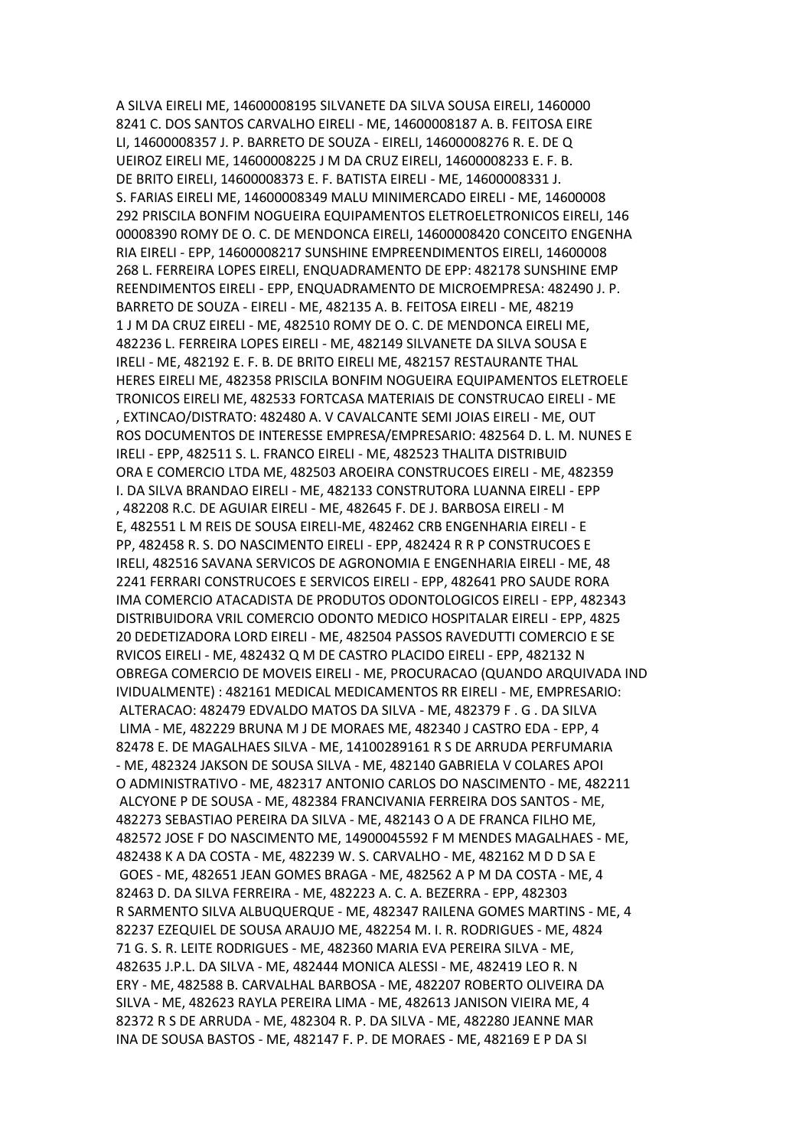A SILVA EIRELI ME, 14600008195 SILVANETE DA SILVA SOUSA EIRELI, 1460000 8241 C. DOS SANTOS CARVALHO EIRELI - ME, 14600008187 A. B. FEITOSA EIRE LI, 14600008357 J. P. BARRETO DE SOUZA - EIRELI, 14600008276 R. E. DE Q UEIROZ EIRELI ME, 14600008225 J M DA CRUZ EIRELI, 14600008233 E. F. B. DE BRITO EIRELI, 14600008373 E. F. BATISTA EIRELI - ME, 14600008331 J. S. FARIAS EIRELI ME, 14600008349 MALU MINIMERCADO EIRELI - ME, 14600008 292 PRISCILA BONFIM NOGUEIRA EQUIPAMENTOS ELETROELETRONICOS EIRELI, 146 00008390 ROMY DE O. C. DE MENDONCA EIRELI, 14600008420 CONCEITO ENGENHA RIA EIRELI - EPP, 14600008217 SUNSHINE EMPREENDIMENTOS EIRELI, 14600008 268 L. FERREIRA LOPES EIRELI, ENQUADRAMENTO DE EPP: 482178 SUNSHINE EMP REENDIMENTOS EIRELI - EPP, ENQUADRAMENTO DE MICROEMPRESA: 482490 J. P. BARRETO DE SOUZA - EIRELI - ME, 482135 A. B. FEITOSA EIRELI - ME, 48219 1 J M DA CRUZ EIRELI - ME, 482510 ROMY DE O. C. DE MENDONCA EIRELI ME, 482236 L. FERREIRA LOPES EIRELI - ME, 482149 SILVANETE DA SILVA SOUSA E IRELI - ME, 482192 E. F. B. DE BRITO EIRELI ME, 482157 RESTAURANTE THAL HERES EIRELI ME, 482358 PRISCILA BONFIM NOGUEIRA EQUIPAMENTOS ELETROELE TRONICOS EIRELI ME, 482533 FORTCASA MATERIAIS DE CONSTRUCAO EIRELI - ME , EXTINCAO/DISTRATO: 482480 A. V CAVALCANTE SEMI JOIAS EIRELI - ME, OUT ROS DOCUMENTOS DE INTERESSE EMPRESA/EMPRESARIO: 482564 D. L. M. NUNES E IRELI - EPP, 482511 S. L. FRANCO EIRELI - ME, 482523 THALITA DISTRIBUID ORA E COMERCIO LTDA ME, 482503 AROEIRA CONSTRUCOES EIRELI - ME, 482359 I. DA SILVA BRANDAO EIRELI - ME, 482133 CONSTRUTORA LUANNA EIRELI - EPP , 482208 R.C. DE AGUIAR EIRELI - ME, 482645 F. DE J. BARBOSA EIRELI - M E, 482551 L M REIS DE SOUSA EIRELI-ME, 482462 CRB ENGENHARIA EIRELI - E PP, 482458 R. S. DO NASCIMENTO EIRELI - EPP, 482424 R R P CONSTRUCOES E IRELI, 482516 SAVANA SERVICOS DE AGRONOMIA E ENGENHARIA EIRELI - ME, 48 2241 FERRARI CONSTRUCOES E SERVICOS EIRELI - EPP, 482641 PRO SAUDE RORA IMA COMERCIO ATACADISTA DE PRODUTOS ODONTOLOGICOS EIRELI - EPP, 482343 DISTRIBUIDORA VRIL COMERCIO ODONTO MEDICO HOSPITALAR EIRELI - EPP, 4825 20 DEDETIZADORA LORD EIRELI - ME, 482504 PASSOS RAVEDUTTI COMERCIO E SE RVICOS EIRELI - ME, 482432 Q M DE CASTRO PLACIDO EIRELI - EPP, 482132 N OBREGA COMERCIO DE MOVEIS EIRELI - ME, PROCURACAO (QUANDO ARQUIVADA IND IVIDUALMENTE) : 482161 MEDICAL MEDICAMENTOS RR EIRELI - ME, EMPRESARIO: ALTERACAO: 482479 EDVALDO MATOS DA SILVA - ME, 482379 F . G . DA SILVA LIMA - ME, 482229 BRUNA M J DE MORAES ME, 482340 J CASTRO EDA - EPP, 4 82478 E. DE MAGALHAES SILVA - ME, 14100289161 R S DE ARRUDA PERFUMARIA - ME, 482324 JAKSON DE SOUSA SILVA - ME, 482140 GABRIELA V COLARES APOI O ADMINISTRATIVO - ME, 482317 ANTONIO CARLOS DO NASCIMENTO - ME, 482211 ALCYONE P DE SOUSA - ME, 482384 FRANCIVANIA FERREIRA DOS SANTOS - ME, 482273 SEBASTIAO PEREIRA DA SILVA - ME, 482143 O A DE FRANCA FILHO ME, 482572 JOSE F DO NASCIMENTO ME, 14900045592 F M MENDES MAGALHAES - ME, 482438 K A DA COSTA - ME, 482239 W. S. CARVALHO - ME, 482162 M D D SA E GOES - ME, 482651 JEAN GOMES BRAGA - ME, 482562 A P M DA COSTA - ME, 4 82463 D. DA SILVA FERREIRA - ME, 482223 A. C. A. BEZERRA - EPP, 482303 R SARMENTO SILVA ALBUQUERQUE - ME, 482347 RAILENA GOMES MARTINS - ME, 4 82237 EZEQUIEL DE SOUSA ARAUJO ME, 482254 M. I. R. RODRIGUES - ME, 4824 71 G. S. R. LEITE RODRIGUES - ME, 482360 MARIA EVA PEREIRA SILVA - ME, 482635 J.P.L. DA SILVA - ME, 482444 MONICA ALESSI - ME, 482419 LEO R. N ERY - ME, 482588 B. CARVALHAL BARBOSA - ME, 482207 ROBERTO OLIVEIRA DA SILVA - ME, 482623 RAYLA PEREIRA LIMA - ME, 482613 JANISON VIEIRA ME, 4 82372 R S DE ARRUDA - ME, 482304 R. P. DA SILVA - ME, 482280 JEANNE MAR INA DE SOUSA BASTOS - ME, 482147 F. P. DE MORAES - ME, 482169 E P DA SI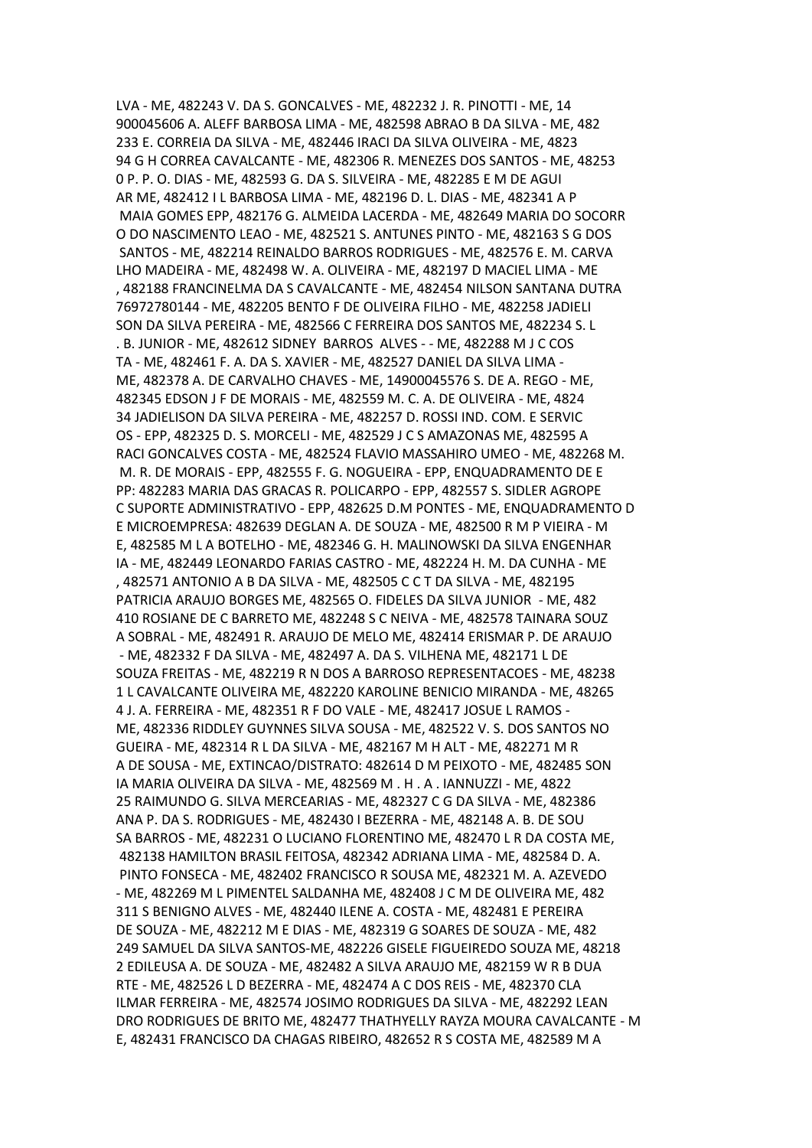LVA - ME, 482243 V. DA S. GONCALVES - ME, 482232 J. R. PINOTTI - ME, 14 900045606 A. ALEFF BARBOSA LIMA - ME, 482598 ABRAO B DA SILVA - ME, 482 233 E. CORREIA DA SILVA - ME, 482446 IRACI DA SILVA OLIVEIRA - ME, 4823 94 G H CORREA CAVALCANTE - ME, 482306 R. MENEZES DOS SANTOS - ME, 48253 0 P. P. O. DIAS - ME, 482593 G. DA S. SILVEIRA - ME, 482285 E M DE AGUI AR ME, 482412 I L BARBOSA LIMA - ME, 482196 D. L. DIAS - ME, 482341 A P MAIA GOMES EPP, 482176 G. ALMEIDA LACERDA - ME, 482649 MARIA DO SOCORR O DO NASCIMENTO LEAO - ME, 482521 S. ANTUNES PINTO - ME, 482163 S G DOS SANTOS - ME, 482214 REINALDO BARROS RODRIGUES - ME, 482576 E. M. CARVA LHO MADEIRA - ME, 482498 W. A. OLIVEIRA - ME, 482197 D MACIEL LIMA - ME , 482188 FRANCINELMA DA S CAVALCANTE - ME, 482454 NILSON SANTANA DUTRA 76972780144 - ME, 482205 BENTO F DE OLIVEIRA FILHO - ME, 482258 JADIELI SON DA SILVA PEREIRA - ME, 482566 C FERREIRA DOS SANTOS ME, 482234 S. L . B. JUNIOR - ME, 482612 SIDNEY BARROS ALVES - - ME, 482288 M J C COS TA - ME, 482461 F. A. DA S. XAVIER - ME, 482527 DANIEL DA SILVA LIMA - ME, 482378 A. DE CARVALHO CHAVES - ME, 14900045576 S. DE A. REGO - ME, 482345 EDSON J F DE MORAIS - ME, 482559 M. C. A. DE OLIVEIRA - ME, 4824 34 JADIELISON DA SILVA PEREIRA - ME, 482257 D. ROSSI IND. COM. E SERVIC OS - EPP, 482325 D. S. MORCELI - ME, 482529 J C S AMAZONAS ME, 482595 A RACI GONCALVES COSTA - ME, 482524 FLAVIO MASSAHIRO UMEO - ME, 482268 M. M. R. DE MORAIS - EPP, 482555 F. G. NOGUEIRA - EPP, ENQUADRAMENTO DE E PP: 482283 MARIA DAS GRACAS R. POLICARPO - EPP, 482557 S. SIDLER AGROPE C SUPORTE ADMINISTRATIVO - EPP, 482625 D.M PONTES - ME, ENQUADRAMENTO D E MICROEMPRESA: 482639 DEGLAN A. DE SOUZA - ME, 482500 R M P VIEIRA - M E, 482585 M L A BOTELHO - ME, 482346 G. H. MALINOWSKI DA SILVA ENGENHAR IA - ME, 482449 LEONARDO FARIAS CASTRO - ME, 482224 H. M. DA CUNHA - ME , 482571 ANTONIO A B DA SILVA - ME, 482505 C C T DA SILVA - ME, 482195 PATRICIA ARAUJO BORGES ME, 482565 O. FIDELES DA SILVA JUNIOR - ME, 482 410 ROSIANE DE C BARRETO ME, 482248 S C NEIVA - ME, 482578 TAINARA SOUZ A SOBRAL - ME, 482491 R. ARAUJO DE MELO ME, 482414 ERISMAR P. DE ARAUJO - ME, 482332 F DA SILVA - ME, 482497 A. DA S. VILHENA ME, 482171 L DE SOUZA FREITAS - ME, 482219 R N DOS A BARROSO REPRESENTACOES - ME, 48238 1 L CAVALCANTE OLIVEIRA ME, 482220 KAROLINE BENICIO MIRANDA - ME, 48265 4 J. A. FERREIRA - ME, 482351 R F DO VALE - ME, 482417 JOSUE L RAMOS - ME, 482336 RIDDLEY GUYNNES SILVA SOUSA - ME, 482522 V. S. DOS SANTOS NO GUEIRA - ME, 482314 R L DA SILVA - ME, 482167 M H ALT - ME, 482271 M R A DE SOUSA - ME, EXTINCAO/DISTRATO: 482614 D M PEIXOTO - ME, 482485 SON IA MARIA OLIVEIRA DA SILVA - ME, 482569 M . H . A . IANNUZZI - ME, 4822 25 RAIMUNDO G. SILVA MERCEARIAS - ME, 482327 C G DA SILVA - ME, 482386 ANA P. DA S. RODRIGUES - ME, 482430 I BEZERRA - ME, 482148 A. B. DE SOU SA BARROS - ME, 482231 O LUCIANO FLORENTINO ME, 482470 L R DA COSTA ME, 482138 HAMILTON BRASIL FEITOSA, 482342 ADRIANA LIMA - ME, 482584 D. A. PINTO FONSECA - ME, 482402 FRANCISCO R SOUSA ME, 482321 M. A. AZEVEDO - ME, 482269 M L PIMENTEL SALDANHA ME, 482408 J C M DE OLIVEIRA ME, 482 311 S BENIGNO ALVES - ME, 482440 ILENE A. COSTA - ME, 482481 E PEREIRA DE SOUZA - ME, 482212 M E DIAS - ME, 482319 G SOARES DE SOUZA - ME, 482 249 SAMUEL DA SILVA SANTOS-ME, 482226 GISELE FIGUEIREDO SOUZA ME, 48218 2 EDILEUSA A. DE SOUZA - ME, 482482 A SILVA ARAUJO ME, 482159 W R B DUA RTE - ME, 482526 L D BEZERRA - ME, 482474 A C DOS REIS - ME, 482370 CLA ILMAR FERREIRA - ME, 482574 JOSIMO RODRIGUES DA SILVA - ME, 482292 LEAN DRO RODRIGUES DE BRITO ME, 482477 THATHYELLY RAYZA MOURA CAVALCANTE - M E, 482431 FRANCISCO DA CHAGAS RIBEIRO, 482652 R S COSTA ME, 482589 M A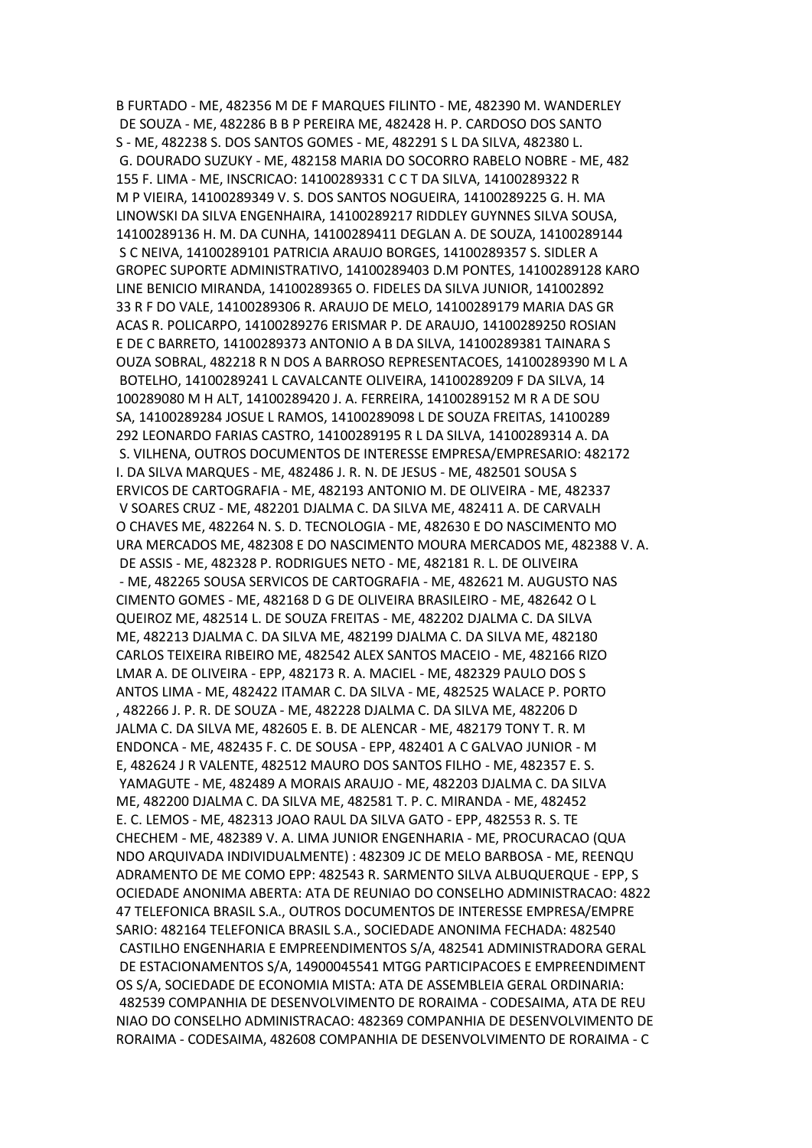B FURTADO - ME, 482356 M DE F MARQUES FILINTO - ME, 482390 M. WANDERLEY DE SOUZA - ME, 482286 B B P PEREIRA ME, 482428 H. P. CARDOSO DOS SANTO S - ME, 482238 S. DOS SANTOS GOMES - ME, 482291 S L DA SILVA, 482380 L. G. DOURADO SUZUKY - ME, 482158 MARIA DO SOCORRO RABELO NOBRE - ME, 482 155 F. LIMA - ME, INSCRICAO: 14100289331 C C T DA SILVA, 14100289322 R M P VIEIRA, 14100289349 V. S. DOS SANTOS NOGUEIRA, 14100289225 G. H. MA LINOWSKI DA SILVA ENGENHAIRA, 14100289217 RIDDLEY GUYNNES SILVA SOUSA, 14100289136 H. M. DA CUNHA, 14100289411 DEGLAN A. DE SOUZA, 14100289144 S C NEIVA, 14100289101 PATRICIA ARAUJO BORGES, 14100289357 S. SIDLER A GROPEC SUPORTE ADMINISTRATIVO, 14100289403 D.M PONTES, 14100289128 KARO LINE BENICIO MIRANDA, 14100289365 O. FIDELES DA SILVA JUNIOR, 141002892 33 R F DO VALE, 14100289306 R. ARAUJO DE MELO, 14100289179 MARIA DAS GR ACAS R. POLICARPO, 14100289276 ERISMAR P. DE ARAUJO, 14100289250 ROSIAN E DE C BARRETO, 14100289373 ANTONIO A B DA SILVA, 14100289381 TAINARA S OUZA SOBRAL, 482218 R N DOS A BARROSO REPRESENTACOES, 14100289390 M L A BOTELHO, 14100289241 L CAVALCANTE OLIVEIRA, 14100289209 F DA SILVA, 14 100289080 M H ALT, 14100289420 J. A. FERREIRA, 14100289152 M R A DE SOU SA, 14100289284 JOSUE L RAMOS, 14100289098 L DE SOUZA FREITAS, 14100289 292 LEONARDO FARIAS CASTRO, 14100289195 R L DA SILVA, 14100289314 A. DA S. VILHENA, OUTROS DOCUMENTOS DE INTERESSE EMPRESA/EMPRESARIO: 482172 I. DA SILVA MARQUES - ME, 482486 J. R. N. DE JESUS - ME, 482501 SOUSA S ERVICOS DE CARTOGRAFIA - ME, 482193 ANTONIO M. DE OLIVEIRA - ME, 482337 V SOARES CRUZ - ME, 482201 DJALMA C. DA SILVA ME, 482411 A. DE CARVALH O CHAVES ME, 482264 N. S. D. TECNOLOGIA - ME, 482630 E DO NASCIMENTO MO URA MERCADOS ME, 482308 E DO NASCIMENTO MOURA MERCADOS ME, 482388 V. A. DE ASSIS - ME, 482328 P. RODRIGUES NETO - ME, 482181 R. L. DE OLIVEIRA - ME, 482265 SOUSA SERVICOS DE CARTOGRAFIA - ME, 482621 M. AUGUSTO NAS CIMENTO GOMES - ME, 482168 D G DE OLIVEIRA BRASILEIRO - ME, 482642 O L QUEIROZ ME, 482514 L. DE SOUZA FREITAS - ME, 482202 DJALMA C. DA SILVA ME, 482213 DJALMA C. DA SILVA ME, 482199 DJALMA C. DA SILVA ME, 482180 CARLOS TEIXEIRA RIBEIRO ME, 482542 ALEX SANTOS MACEIO - ME, 482166 RIZO LMAR A. DE OLIVEIRA - EPP, 482173 R. A. MACIEL - ME, 482329 PAULO DOS S ANTOS LIMA - ME, 482422 ITAMAR C. DA SILVA - ME, 482525 WALACE P. PORTO , 482266 J. P. R. DE SOUZA - ME, 482228 DJALMA C. DA SILVA ME, 482206 D JALMA C. DA SILVA ME, 482605 E. B. DE ALENCAR - ME, 482179 TONY T. R. M ENDONCA - ME, 482435 F. C. DE SOUSA - EPP, 482401 A C GALVAO JUNIOR - M E, 482624 J R VALENTE, 482512 MAURO DOS SANTOS FILHO - ME, 482357 E. S. YAMAGUTE - ME, 482489 A MORAIS ARAUJO - ME, 482203 DJALMA C. DA SILVA ME, 482200 DJALMA C. DA SILVA ME, 482581 T. P. C. MIRANDA - ME, 482452 E. C. LEMOS - ME, 482313 JOAO RAUL DA SILVA GATO - EPP, 482553 R. S. TE CHECHEM - ME, 482389 V. A. LIMA JUNIOR ENGENHARIA - ME, PROCURACAO (QUA NDO ARQUIVADA INDIVIDUALMENTE) : 482309 JC DE MELO BARBOSA - ME, REENQU ADRAMENTO DE ME COMO EPP: 482543 R. SARMENTO SILVA ALBUQUERQUE - EPP, S OCIEDADE ANONIMA ABERTA: ATA DE REUNIAO DO CONSELHO ADMINISTRACAO: 4822 47 TELEFONICA BRASIL S.A., OUTROS DOCUMENTOS DE INTERESSE EMPRESA/EMPRE SARIO: 482164 TELEFONICA BRASIL S.A., SOCIEDADE ANONIMA FECHADA: 482540 CASTILHO ENGENHARIA E EMPREENDIMENTOS S/A, 482541 ADMINISTRADORA GERAL DE ESTACIONAMENTOS S/A, 14900045541 MTGG PARTICIPACOES E EMPREENDIMENT OS S/A, SOCIEDADE DE ECONOMIA MISTA: ATA DE ASSEMBLEIA GERAL ORDINARIA: 482539 COMPANHIA DE DESENVOLVIMENTO DE RORAIMA - CODESAIMA, ATA DE REU NIAO DO CONSELHO ADMINISTRACAO: 482369 COMPANHIA DE DESENVOLVIMENTO DE RORAIMA - CODESAIMA, 482608 COMPANHIA DE DESENVOLVIMENTO DE RORAIMA - C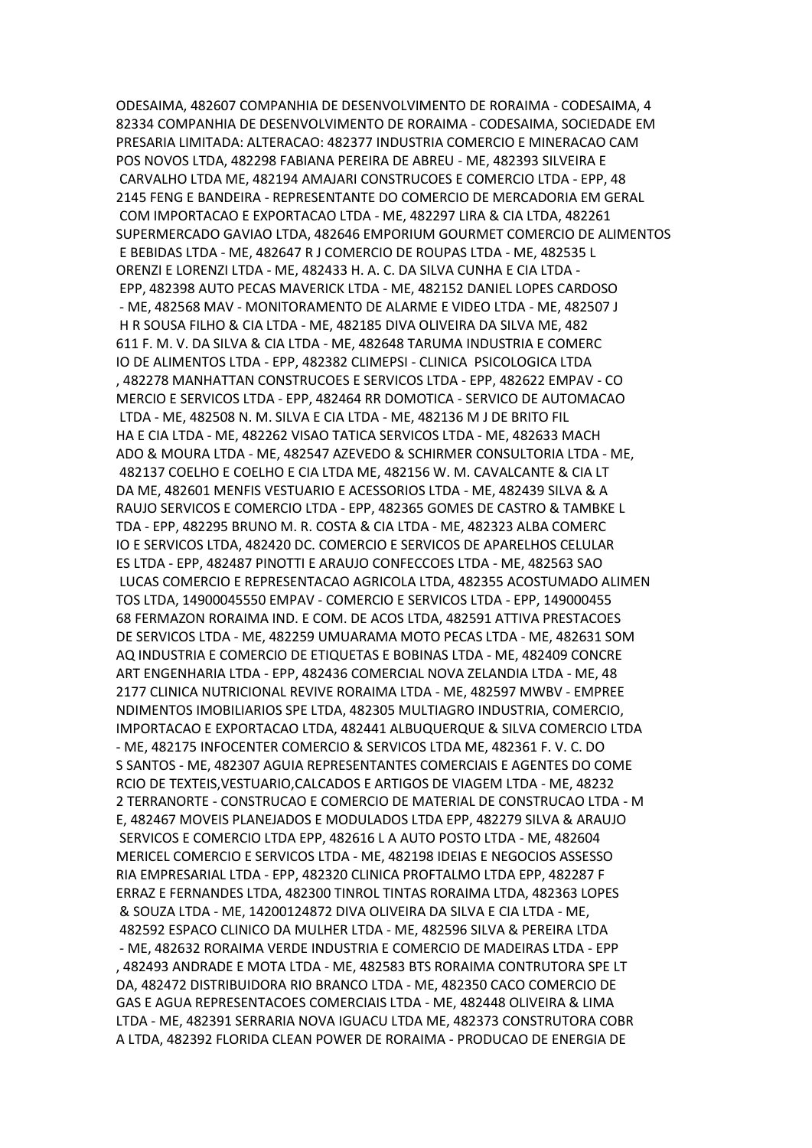ODESAIMA, 482607 COMPANHIA DE DESENVOLVIMENTO DE RORAIMA - CODESAIMA, 4 82334 COMPANHIA DE DESENVOLVIMENTO DE RORAIMA - CODESAIMA, SOCIEDADE EM PRESARIA LIMITADA: ALTERACAO: 482377 INDUSTRIA COMERCIO E MINERACAO CAM POS NOVOS LTDA, 482298 FABIANA PEREIRA DE ABREU - ME, 482393 SILVEIRA E CARVALHO LTDA ME, 482194 AMAJARI CONSTRUCOES E COMERCIO LTDA - EPP, 48 2145 FENG E BANDEIRA - REPRESENTANTE DO COMERCIO DE MERCADORIA EM GERAL COM IMPORTACAO E EXPORTACAO LTDA - ME, 482297 LIRA & CIA LTDA, 482261 SUPERMERCADO GAVIAO LTDA, 482646 EMPORIUM GOURMET COMERCIO DE ALIMENTOS E BEBIDAS LTDA - ME, 482647 R J COMERCIO DE ROUPAS LTDA - ME, 482535 L ORENZI E LORENZI LTDA - ME, 482433 H. A. C. DA SILVA CUNHA E CIA LTDA - EPP, 482398 AUTO PECAS MAVERICK LTDA - ME, 482152 DANIEL LOPES CARDOSO - ME, 482568 MAV - MONITORAMENTO DE ALARME E VIDEO LTDA - ME, 482507 J H R SOUSA FILHO & CIA LTDA - ME, 482185 DIVA OLIVEIRA DA SILVA ME, 482 611 F. M. V. DA SILVA & CIA LTDA - ME, 482648 TARUMA INDUSTRIA E COMERC IO DE ALIMENTOS LTDA - EPP, 482382 CLIMEPSI - CLINICA PSICOLOGICA LTDA , 482278 MANHATTAN CONSTRUCOES E SERVICOS LTDA - EPP, 482622 EMPAV - CO MERCIO E SERVICOS LTDA - EPP, 482464 RR DOMOTICA - SERVICO DE AUTOMACAO LTDA - ME, 482508 N. M. SILVA E CIA LTDA - ME, 482136 M J DE BRITO FIL HA E CIA LTDA - ME, 482262 VISAO TATICA SERVICOS LTDA - ME, 482633 MACH ADO & MOURA LTDA - ME, 482547 AZEVEDO & SCHIRMER CONSULTORIA LTDA - ME, 482137 COELHO E COELHO E CIA LTDA ME, 482156 W. M. CAVALCANTE & CIA LT DA ME, 482601 MENFIS VESTUARIO E ACESSORIOS LTDA - ME, 482439 SILVA & A RAUJO SERVICOS E COMERCIO LTDA - EPP, 482365 GOMES DE CASTRO & TAMBKE L TDA - EPP, 482295 BRUNO M. R. COSTA & CIA LTDA - ME, 482323 ALBA COMERC IO E SERVICOS LTDA, 482420 DC. COMERCIO E SERVICOS DE APARELHOS CELULAR ES LTDA - EPP, 482487 PINOTTI E ARAUJO CONFECCOES LTDA - ME, 482563 SAO LUCAS COMERCIO E REPRESENTACAO AGRICOLA LTDA, 482355 ACOSTUMADO ALIMEN TOS LTDA, 14900045550 EMPAV - COMERCIO E SERVICOS LTDA - EPP, 149000455 68 FERMAZON RORAIMA IND. E COM. DE ACOS LTDA, 482591 ATTIVA PRESTACOES DE SERVICOS LTDA - ME, 482259 UMUARAMA MOTO PECAS LTDA - ME, 482631 SOM AQ INDUSTRIA E COMERCIO DE ETIQUETAS E BOBINAS LTDA - ME, 482409 CONCRE ART ENGENHARIA LTDA - EPP, 482436 COMERCIAL NOVA ZELANDIA LTDA - ME, 48 2177 CLINICA NUTRICIONAL REVIVE RORAIMA LTDA - ME, 482597 MWBV - EMPREE NDIMENTOS IMOBILIARIOS SPE LTDA, 482305 MULTIAGRO INDUSTRIA, COMERCIO, IMPORTACAO E EXPORTACAO LTDA, 482441 ALBUQUERQUE & SILVA COMERCIO LTDA - ME, 482175 INFOCENTER COMERCIO & SERVICOS LTDA ME, 482361 F. V. C. DO S SANTOS - ME, 482307 AGUIA REPRESENTANTES COMERCIAIS E AGENTES DO COME RCIO DE TEXTEIS,VESTUARIO,CALCADOS E ARTIGOS DE VIAGEM LTDA - ME, 48232 2 TERRANORTE - CONSTRUCAO E COMERCIO DE MATERIAL DE CONSTRUCAO LTDA - M E, 482467 MOVEIS PLANEJADOS E MODULADOS LTDA EPP, 482279 SILVA & ARAUJO SERVICOS E COMERCIO LTDA EPP, 482616 L A AUTO POSTO LTDA - ME, 482604 MERICEL COMERCIO E SERVICOS LTDA - ME, 482198 IDEIAS E NEGOCIOS ASSESSO RIA EMPRESARIAL LTDA - EPP, 482320 CLINICA PROFTALMO LTDA EPP, 482287 F ERRAZ E FERNANDES LTDA, 482300 TINROL TINTAS RORAIMA LTDA, 482363 LOPES & SOUZA LTDA - ME, 14200124872 DIVA OLIVEIRA DA SILVA E CIA LTDA - ME, 482592 ESPACO CLINICO DA MULHER LTDA - ME, 482596 SILVA & PEREIRA LTDA - ME, 482632 RORAIMA VERDE INDUSTRIA E COMERCIO DE MADEIRAS LTDA - EPP , 482493 ANDRADE E MOTA LTDA - ME, 482583 BTS RORAIMA CONTRUTORA SPE LT DA, 482472 DISTRIBUIDORA RIO BRANCO LTDA - ME, 482350 CACO COMERCIO DE GAS E AGUA REPRESENTACOES COMERCIAIS LTDA - ME, 482448 OLIVEIRA & LIMA LTDA - ME, 482391 SERRARIA NOVA IGUACU LTDA ME, 482373 CONSTRUTORA COBR A LTDA, 482392 FLORIDA CLEAN POWER DE RORAIMA - PRODUCAO DE ENERGIA DE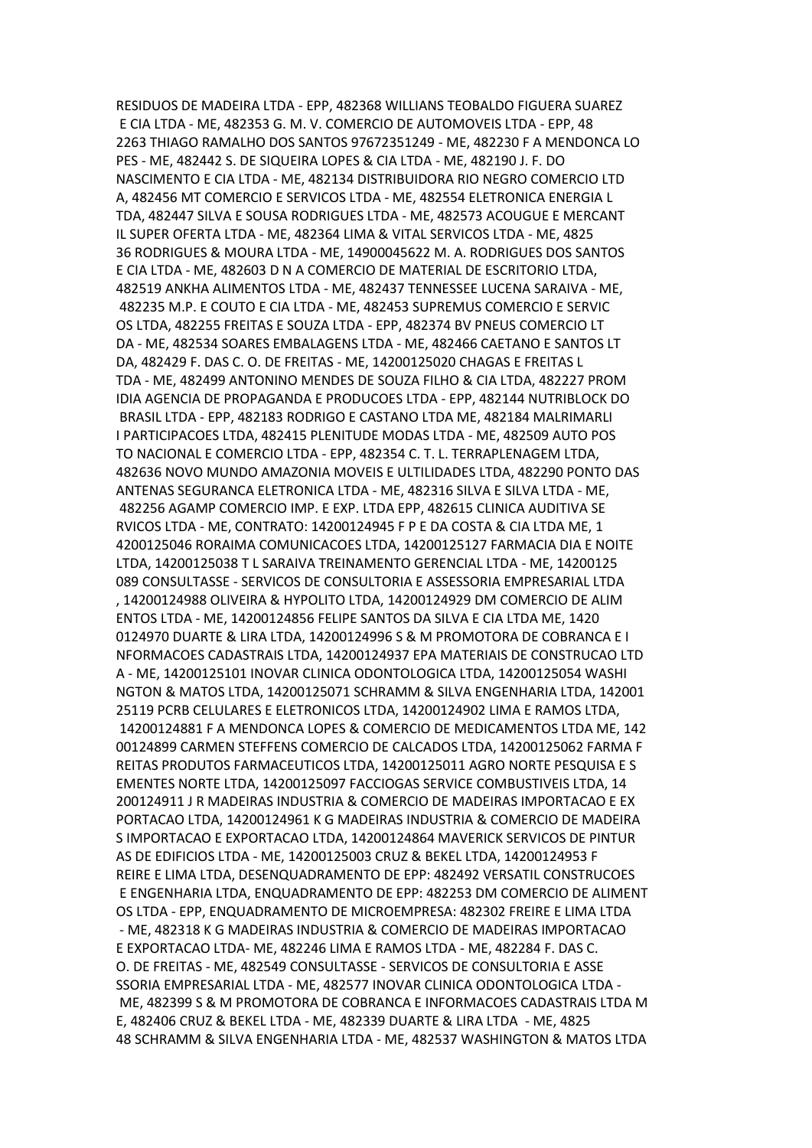RESIDUOS DE MADEIRA LTDA - EPP, 482368 WILLIANS TEOBALDO FIGUERA SUAREZ E CIA LTDA - ME, 482353 G. M. V. COMERCIO DE AUTOMOVEIS LTDA - EPP, 48 2263 THIAGO RAMALHO DOS SANTOS 97672351249 - ME, 482230 F A MENDONCA LO PES - ME, 482442 S. DE SIQUEIRA LOPES & CIA LTDA - ME, 482190 J. F. DO NASCIMENTO E CIA LTDA - ME, 482134 DISTRIBUIDORA RIO NEGRO COMERCIO LTD A, 482456 MT COMERCIO E SERVICOS LTDA - ME, 482554 ELETRONICA ENERGIA L TDA, 482447 SILVA E SOUSA RODRIGUES LTDA - ME, 482573 ACOUGUE E MERCANT IL SUPER OFERTA LTDA - ME, 482364 LIMA & VITAL SERVICOS LTDA - ME, 4825 36 RODRIGUES & MOURA LTDA - ME, 14900045622 M. A. RODRIGUES DOS SANTOS E CIA LTDA - ME, 482603 D N A COMERCIO DE MATERIAL DE ESCRITORIO LTDA, 482519 ANKHA ALIMENTOS LTDA - ME, 482437 TENNESSEE LUCENA SARAIVA - ME, 482235 M.P. E COUTO E CIA LTDA - ME, 482453 SUPREMUS COMERCIO E SERVIC OS LTDA, 482255 FREITAS E SOUZA LTDA - EPP, 482374 BV PNEUS COMERCIO LT DA - ME, 482534 SOARES EMBALAGENS LTDA - ME, 482466 CAETANO E SANTOS LT DA, 482429 F. DAS C. O. DE FREITAS - ME, 14200125020 CHAGAS E FREITAS L TDA - ME, 482499 ANTONINO MENDES DE SOUZA FILHO & CIA LTDA, 482227 PROM IDIA AGENCIA DE PROPAGANDA E PRODUCOES LTDA - EPP, 482144 NUTRIBLOCK DO BRASIL LTDA - EPP, 482183 RODRIGO E CASTANO LTDA ME, 482184 MALRIMARLI I PARTICIPACOES LTDA, 482415 PLENITUDE MODAS LTDA - ME, 482509 AUTO POS TO NACIONAL E COMERCIO LTDA - EPP, 482354 C. T. L. TERRAPLENAGEM LTDA, 482636 NOVO MUNDO AMAZONIA MOVEIS E ULTILIDADES LTDA, 482290 PONTO DAS ANTENAS SEGURANCA ELETRONICA LTDA - ME, 482316 SILVA E SILVA LTDA - ME, 482256 AGAMP COMERCIO IMP. E EXP. LTDA EPP, 482615 CLINICA AUDITIVA SE RVICOS LTDA - ME, CONTRATO: 14200124945 F P E DA COSTA & CIA LTDA ME, 1 4200125046 RORAIMA COMUNICACOES LTDA, 14200125127 FARMACIA DIA E NOITE LTDA, 14200125038 T L SARAIVA TREINAMENTO GERENCIAL LTDA - ME, 14200125 089 CONSULTASSE - SERVICOS DE CONSULTORIA E ASSESSORIA EMPRESARIAL LTDA , 14200124988 OLIVEIRA & HYPOLITO LTDA, 14200124929 DM COMERCIO DE ALIM ENTOS LTDA - ME, 14200124856 FELIPE SANTOS DA SILVA E CIA LTDA ME, 1420 0124970 DUARTE & LIRA LTDA, 14200124996 S & M PROMOTORA DE COBRANCA E I NFORMACOES CADASTRAIS LTDA, 14200124937 EPA MATERIAIS DE CONSTRUCAO LTD A - ME, 14200125101 INOVAR CLINICA ODONTOLOGICA LTDA, 14200125054 WASHI NGTON & MATOS LTDA, 14200125071 SCHRAMM & SILVA ENGENHARIA LTDA, 142001 25119 PCRB CELULARES E ELETRONICOS LTDA, 14200124902 LIMA E RAMOS LTDA, 14200124881 F A MENDONCA LOPES & COMERCIO DE MEDICAMENTOS LTDA ME, 142 00124899 CARMEN STEFFENS COMERCIO DE CALCADOS LTDA, 14200125062 FARMA F REITAS PRODUTOS FARMACEUTICOS LTDA, 14200125011 AGRO NORTE PESQUISA E S EMENTES NORTE LTDA, 14200125097 FACCIOGAS SERVICE COMBUSTIVEIS LTDA, 14 200124911 J R MADEIRAS INDUSTRIA & COMERCIO DE MADEIRAS IMPORTACAO E EX PORTACAO LTDA, 14200124961 K G MADEIRAS INDUSTRIA & COMERCIO DE MADEIRA S IMPORTACAO E EXPORTACAO LTDA, 14200124864 MAVERICK SERVICOS DE PINTUR AS DE EDIFICIOS LTDA - ME, 14200125003 CRUZ & BEKEL LTDA, 14200124953 F REIRE E LIMA LTDA, DESENQUADRAMENTO DE EPP: 482492 VERSATIL CONSTRUCOES E ENGENHARIA LTDA, ENQUADRAMENTO DE EPP: 482253 DM COMERCIO DE ALIMENT OS LTDA - EPP, ENQUADRAMENTO DE MICROEMPRESA: 482302 FREIRE E LIMA LTDA - ME, 482318 K G MADEIRAS INDUSTRIA & COMERCIO DE MADEIRAS IMPORTACAO E EXPORTACAO LTDA- ME, 482246 LIMA E RAMOS LTDA - ME, 482284 F. DAS C. O. DE FREITAS - ME, 482549 CONSULTASSE - SERVICOS DE CONSULTORIA E ASSE SSORIA EMPRESARIAL LTDA - ME, 482577 INOVAR CLINICA ODONTOLOGICA LTDA - ME, 482399 S & M PROMOTORA DE COBRANCA E INFORMACOES CADASTRAIS LTDA M E, 482406 CRUZ & BEKEL LTDA - ME, 482339 DUARTE & LIRA LTDA - ME, 4825 48 SCHRAMM & SILVA ENGENHARIA LTDA - ME, 482537 WASHINGTON & MATOS LTDA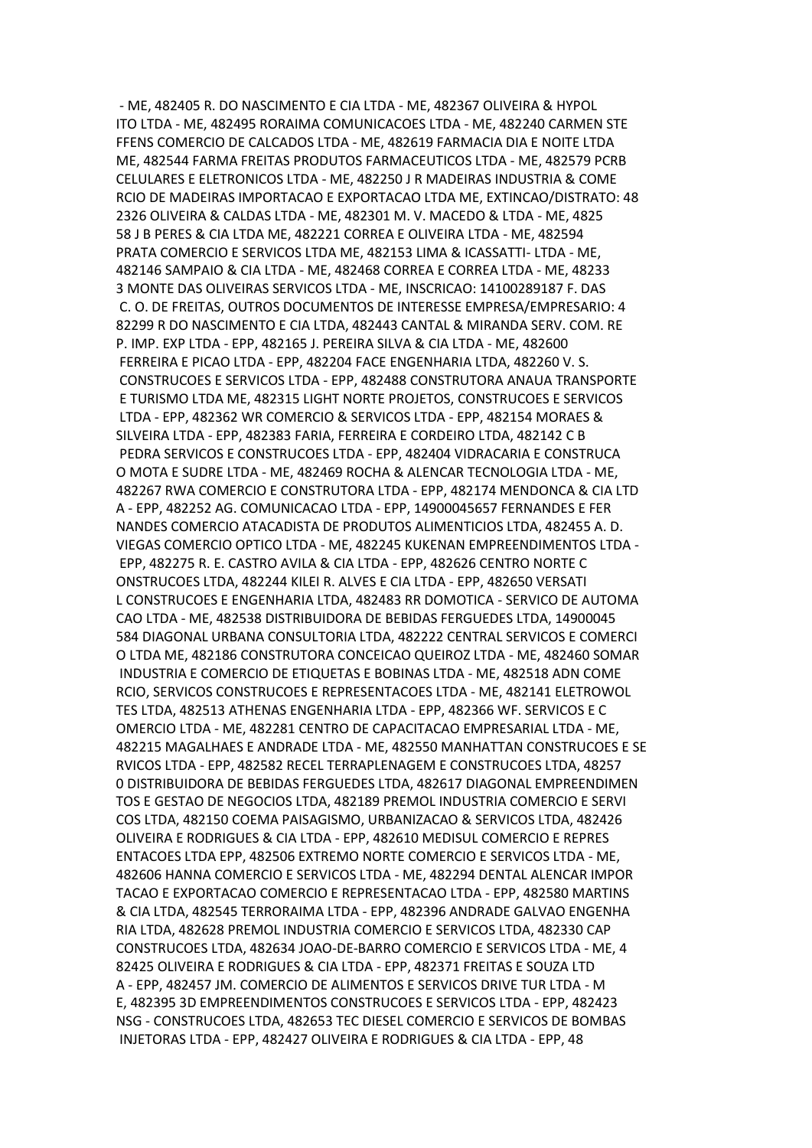- ME, 482405 R. DO NASCIMENTO E CIA LTDA - ME, 482367 OLIVEIRA & HYPOL ITO LTDA - ME, 482495 RORAIMA COMUNICACOES LTDA - ME, 482240 CARMEN STE FFENS COMERCIO DE CALCADOS LTDA - ME, 482619 FARMACIA DIA E NOITE LTDA ME, 482544 FARMA FREITAS PRODUTOS FARMACEUTICOS LTDA - ME, 482579 PCRB CELULARES E ELETRONICOS LTDA - ME, 482250 J R MADEIRAS INDUSTRIA & COME RCIO DE MADEIRAS IMPORTACAO E EXPORTACAO LTDA ME, EXTINCAO/DISTRATO: 48 2326 OLIVEIRA & CALDAS LTDA - ME, 482301 M. V. MACEDO & LTDA - ME, 4825 58 J B PERES & CIA LTDA ME, 482221 CORREA E OLIVEIRA LTDA - ME, 482594 PRATA COMERCIO E SERVICOS LTDA ME, 482153 LIMA & ICASSATTI- LTDA - ME, 482146 SAMPAIO & CIA LTDA - ME, 482468 CORREA E CORREA LTDA - ME, 48233 3 MONTE DAS OLIVEIRAS SERVICOS LTDA - ME, INSCRICAO: 14100289187 F. DAS C. O. DE FREITAS, OUTROS DOCUMENTOS DE INTERESSE EMPRESA/EMPRESARIO: 4 82299 R DO NASCIMENTO E CIA LTDA, 482443 CANTAL & MIRANDA SERV. COM. RE P. IMP. EXP LTDA - EPP, 482165 J. PEREIRA SILVA & CIA LTDA - ME, 482600 FERREIRA E PICAO LTDA - EPP, 482204 FACE ENGENHARIA LTDA, 482260 V. S. CONSTRUCOES E SERVICOS LTDA - EPP, 482488 CONSTRUTORA ANAUA TRANSPORTE E TURISMO LTDA ME, 482315 LIGHT NORTE PROJETOS, CONSTRUCOES E SERVICOS LTDA - EPP, 482362 WR COMERCIO & SERVICOS LTDA - EPP, 482154 MORAES & SILVEIRA LTDA - EPP, 482383 FARIA, FERREIRA E CORDEIRO LTDA, 482142 C B PEDRA SERVICOS E CONSTRUCOES LTDA - EPP, 482404 VIDRACARIA E CONSTRUCA O MOTA E SUDRE LTDA - ME, 482469 ROCHA & ALENCAR TECNOLOGIA LTDA - ME, 482267 RWA COMERCIO E CONSTRUTORA LTDA - EPP, 482174 MENDONCA & CIA LTD A - EPP, 482252 AG. COMUNICACAO LTDA - EPP, 14900045657 FERNANDES E FER NANDES COMERCIO ATACADISTA DE PRODUTOS ALIMENTICIOS LTDA, 482455 A. D. VIEGAS COMERCIO OPTICO LTDA - ME, 482245 KUKENAN EMPREENDIMENTOS LTDA - EPP, 482275 R. E. CASTRO AVILA & CIA LTDA - EPP, 482626 CENTRO NORTE C ONSTRUCOES LTDA, 482244 KILEI R. ALVES E CIA LTDA - EPP, 482650 VERSATI L CONSTRUCOES E ENGENHARIA LTDA, 482483 RR DOMOTICA - SERVICO DE AUTOMA CAO LTDA - ME, 482538 DISTRIBUIDORA DE BEBIDAS FERGUEDES LTDA, 14900045 584 DIAGONAL URBANA CONSULTORIA LTDA, 482222 CENTRAL SERVICOS E COMERCI O LTDA ME, 482186 CONSTRUTORA CONCEICAO QUEIROZ LTDA - ME, 482460 SOMAR INDUSTRIA E COMERCIO DE ETIQUETAS E BOBINAS LTDA - ME, 482518 ADN COME RCIO, SERVICOS CONSTRUCOES E REPRESENTACOES LTDA - ME, 482141 ELETROWOL TES LTDA, 482513 ATHENAS ENGENHARIA LTDA - EPP, 482366 WF. SERVICOS E C OMERCIO LTDA - ME, 482281 CENTRO DE CAPACITACAO EMPRESARIAL LTDA - ME, 482215 MAGALHAES E ANDRADE LTDA - ME, 482550 MANHATTAN CONSTRUCOES E SE RVICOS LTDA - EPP, 482582 RECEL TERRAPLENAGEM E CONSTRUCOES LTDA, 48257 0 DISTRIBUIDORA DE BEBIDAS FERGUEDES LTDA, 482617 DIAGONAL EMPREENDIMEN TOS E GESTAO DE NEGOCIOS LTDA, 482189 PREMOL INDUSTRIA COMERCIO E SERVI COS LTDA, 482150 COEMA PAISAGISMO, URBANIZACAO & SERVICOS LTDA, 482426 OLIVEIRA E RODRIGUES & CIA LTDA - EPP, 482610 MEDISUL COMERCIO E REPRES ENTACOES LTDA EPP, 482506 EXTREMO NORTE COMERCIO E SERVICOS LTDA - ME, 482606 HANNA COMERCIO E SERVICOS LTDA - ME, 482294 DENTAL ALENCAR IMPOR TACAO E EXPORTACAO COMERCIO E REPRESENTACAO LTDA - EPP, 482580 MARTINS & CIA LTDA, 482545 TERRORAIMA LTDA - EPP, 482396 ANDRADE GALVAO ENGENHA RIA LTDA, 482628 PREMOL INDUSTRIA COMERCIO E SERVICOS LTDA, 482330 CAP CONSTRUCOES LTDA, 482634 JOAO-DE-BARRO COMERCIO E SERVICOS LTDA - ME, 4 82425 OLIVEIRA E RODRIGUES & CIA LTDA - EPP, 482371 FREITAS E SOUZA LTD A - EPP, 482457 JM. COMERCIO DE ALIMENTOS E SERVICOS DRIVE TUR LTDA - M E, 482395 3D EMPREENDIMENTOS CONSTRUCOES E SERVICOS LTDA - EPP, 482423 NSG - CONSTRUCOES LTDA, 482653 TEC DIESEL COMERCIO E SERVICOS DE BOMBAS INJETORAS LTDA - EPP, 482427 OLIVEIRA E RODRIGUES & CIA LTDA - EPP, 48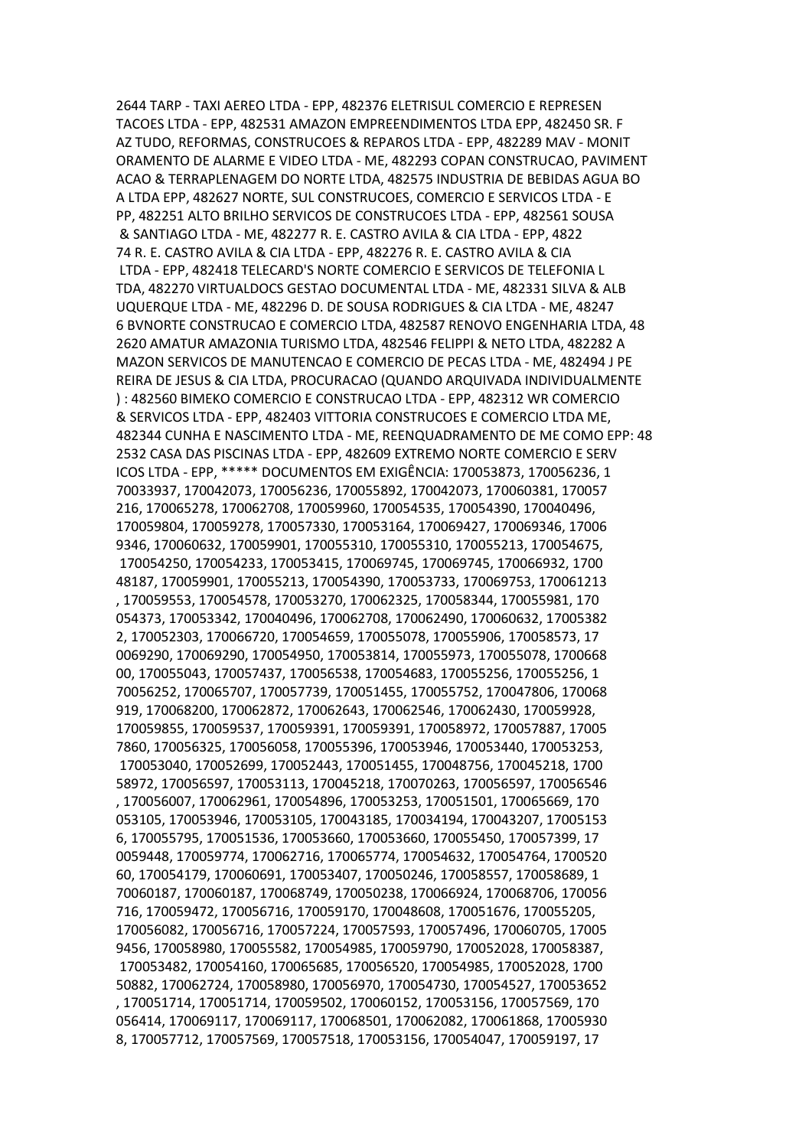2644 TARP - TAXI AEREO LTDA - EPP, 482376 ELETRISUL COMERCIO E REPRESEN TACOES LTDA - EPP, 482531 AMAZON EMPREENDIMENTOS LTDA EPP, 482450 SR. F AZ TUDO, REFORMAS, CONSTRUCOES & REPAROS LTDA - EPP, 482289 MAV - MONIT ORAMENTO DE ALARME E VIDEO LTDA - ME, 482293 COPAN CONSTRUCAO, PAVIMENT ACAO & TERRAPLENAGEM DO NORTE LTDA, 482575 INDUSTRIA DE BEBIDAS AGUA BO A LTDA EPP, 482627 NORTE, SUL CONSTRUCOES, COMERCIO E SERVICOS LTDA - E PP, 482251 ALTO BRILHO SERVICOS DE CONSTRUCOES LTDA - EPP, 482561 SOUSA & SANTIAGO LTDA - ME, 482277 R. E. CASTRO AVILA & CIA LTDA - EPP, 4822 74 R. E. CASTRO AVILA & CIA LTDA - EPP, 482276 R. E. CASTRO AVILA & CIA LTDA - EPP, 482418 TELECARD'S NORTE COMERCIO E SERVICOS DE TELEFONIA L TDA, 482270 VIRTUALDOCS GESTAO DOCUMENTAL LTDA - ME, 482331 SILVA & ALB UQUERQUE LTDA - ME, 482296 D. DE SOUSA RODRIGUES & CIA LTDA - ME, 48247 6 BVNORTE CONSTRUCAO E COMERCIO LTDA, 482587 RENOVO ENGENHARIA LTDA, 48 2620 AMATUR AMAZONIA TURISMO LTDA, 482546 FELIPPI & NETO LTDA, 482282 A MAZON SERVICOS DE MANUTENCAO E COMERCIO DE PECAS LTDA - ME, 482494 J PE REIRA DE JESUS & CIA LTDA, PROCURACAO (QUANDO ARQUIVADA INDIVIDUALMENTE ) : 482560 BIMEKO COMERCIO E CONSTRUCAO LTDA - EPP, 482312 WR COMERCIO & SERVICOS LTDA - EPP, 482403 VITTORIA CONSTRUCOES E COMERCIO LTDA ME, 482344 CUNHA E NASCIMENTO LTDA - ME, REENQUADRAMENTO DE ME COMO EPP: 48 2532 CASA DAS PISCINAS LTDA - EPP, 482609 EXTREMO NORTE COMERCIO E SERV ICOS LTDA - EPP, \*\*\*\*\* DOCUMENTOS EM EXIGÊNCIA: 170053873, 170056236, 1 70033937, 170042073, 170056236, 170055892, 170042073, 170060381, 170057 216, 170065278, 170062708, 170059960, 170054535, 170054390, 170040496, 170059804, 170059278, 170057330, 170053164, 170069427, 170069346, 17006 9346, 170060632, 170059901, 170055310, 170055310, 170055213, 170054675, 170054250, 170054233, 170053415, 170069745, 170069745, 170066932, 1700 48187, 170059901, 170055213, 170054390, 170053733, 170069753, 170061213 , 170059553, 170054578, 170053270, 170062325, 170058344, 170055981, 170 054373, 170053342, 170040496, 170062708, 170062490, 170060632, 17005382 2, 170052303, 170066720, 170054659, 170055078, 170055906, 170058573, 17 0069290, 170069290, 170054950, 170053814, 170055973, 170055078, 1700668 00, 170055043, 170057437, 170056538, 170054683, 170055256, 170055256, 1 70056252, 170065707, 170057739, 170051455, 170055752, 170047806, 170068 919, 170068200, 170062872, 170062643, 170062546, 170062430, 170059928, 170059855, 170059537, 170059391, 170059391, 170058972, 170057887, 17005 7860, 170056325, 170056058, 170055396, 170053946, 170053440, 170053253, 170053040, 170052699, 170052443, 170051455, 170048756, 170045218, 1700 58972, 170056597, 170053113, 170045218, 170070263, 170056597, 170056546 , 170056007, 170062961, 170054896, 170053253, 170051501, 170065669, 170 053105, 170053946, 170053105, 170043185, 170034194, 170043207, 17005153 6, 170055795, 170051536, 170053660, 170053660, 170055450, 170057399, 17 0059448, 170059774, 170062716, 170065774, 170054632, 170054764, 1700520 60, 170054179, 170060691, 170053407, 170050246, 170058557, 170058689, 1 70060187, 170060187, 170068749, 170050238, 170066924, 170068706, 170056 716, 170059472, 170056716, 170059170, 170048608, 170051676, 170055205, 170056082, 170056716, 170057224, 170057593, 170057496, 170060705, 17005 9456, 170058980, 170055582, 170054985, 170059790, 170052028, 170058387, 170053482, 170054160, 170065685, 170056520, 170054985, 170052028, 1700 50882, 170062724, 170058980, 170056970, 170054730, 170054527, 170053652 , 170051714, 170051714, 170059502, 170060152, 170053156, 170057569, 170 056414, 170069117, 170069117, 170068501, 170062082, 170061868, 17005930 8, 170057712, 170057569, 170057518, 170053156, 170054047, 170059197, 17